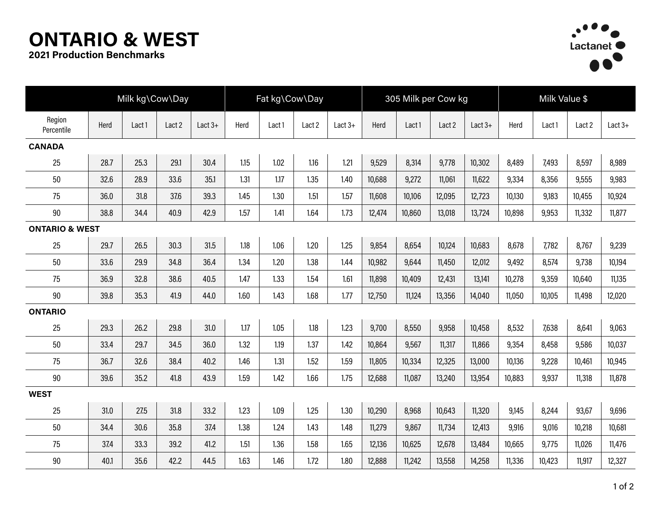## **ONTARIO & WEST**



**2021 Production Benchmarks**

|                           | Milk kg\Cow\Day |        |        |           |      | Fat kg\Cow\Day |        |           |        | 305 Milk per Cow kg |        |           |        | Milk Value \$ |        |           |  |
|---------------------------|-----------------|--------|--------|-----------|------|----------------|--------|-----------|--------|---------------------|--------|-----------|--------|---------------|--------|-----------|--|
| Region<br>Percentile      | Herd            | Lact 1 | Lact 2 | Lact $3+$ | Herd | Lact 1         | Lact 2 | Lact $3+$ | Herd   | Lact 1              | Lact 2 | Lact $3+$ | Herd   | Lact 1        | Lact 2 | Lact $3+$ |  |
| <b>CANADA</b>             |                 |        |        |           |      |                |        |           |        |                     |        |           |        |               |        |           |  |
| 25                        | 28.7            | 25.3   | 29.1   | 30.4      | 1.15 | 1.02           | 1.16   | 1.21      | 9,529  | 8,314               | 9,778  | 10,302    | 8,489  | 7,493         | 8,597  | 8,989     |  |
| 50                        | 32.6            | 28.9   | 33.6   | 35.1      | 1.31 | 1.17           | 1.35   | 1.40      | 10,688 | 9,272               | 11,061 | 11,622    | 9,334  | 8,356         | 9,555  | 9,983     |  |
| 75                        | 36.0            | 31.8   | 37.6   | 39.3      | 1.45 | 1.30           | 1.51   | 1.57      | 11,608 | 10,106              | 12,095 | 12,723    | 10,130 | 9,183         | 10,455 | 10,924    |  |
| 90                        | 38.8            | 34.4   | 40.9   | 42.9      | 1.57 | 1.41           | 1.64   | 1.73      | 12,474 | 10,860              | 13,018 | 13,724    | 10,898 | 9,953         | 11,332 | 11,877    |  |
| <b>ONTARIO &amp; WEST</b> |                 |        |        |           |      |                |        |           |        |                     |        |           |        |               |        |           |  |
| 25                        | 29.7            | 26.5   | 30.3   | 31.5      | 1.18 | 1.06           | 1.20   | 1.25      | 9,854  | 8,654               | 10,124 | 10,683    | 8,678  | 7,782         | 8,767  | 9,239     |  |
| 50                        | 33.6            | 29.9   | 34.8   | 36.4      | 1.34 | 1.20           | 1.38   | 1.44      | 10,982 | 9,644               | 11,450 | 12,012    | 9,492  | 8,574         | 9,738  | 10,194    |  |
| 75                        | 36.9            | 32.8   | 38.6   | 40.5      | 1.47 | 1.33           | 1.54   | 1.61      | 11,898 | 10,409              | 12,431 | 13,141    | 10,278 | 9,359         | 10,640 | 11,135    |  |
| 90                        | 39.8            | 35.3   | 41.9   | 44.0      | 1.60 | 1.43           | 1.68   | 1.77      | 12,750 | 11,124              | 13,356 | 14,040    | 11,050 | 10,105        | 11,498 | 12,020    |  |
| <b>ONTARIO</b>            |                 |        |        |           |      |                |        |           |        |                     |        |           |        |               |        |           |  |
| 25                        | 29.3            | 26.2   | 29.8   | 31.0      | 1.17 | 1.05           | 1.18   | 1.23      | 9,700  | 8,550               | 9,958  | 10,458    | 8,532  | 7,638         | 8,641  | 9,063     |  |
| 50                        | 33.4            | 29.7   | 34.5   | 36.0      | 1.32 | 1.19           | 1.37   | 1.42      | 10,864 | 9,567               | 11,317 | 11,866    | 9,354  | 8,458         | 9,586  | 10,037    |  |
| 75                        | 36.7            | 32.6   | 38.4   | 40.2      | 1.46 | 1.31           | 1.52   | 1.59      | 11,805 | 10,334              | 12,325 | 13,000    | 10,136 | 9,228         | 10,461 | 10,945    |  |
| $90\,$                    | 39.6            | 35.2   | 41.8   | 43.9      | 1.59 | 1.42           | 1.66   | 1.75      | 12,688 | 11,087              | 13,240 | 13,954    | 10,883 | 9,937         | 11,318 | 11,878    |  |
| <b>WEST</b>               |                 |        |        |           |      |                |        |           |        |                     |        |           |        |               |        |           |  |
| 25                        | 31.0            | 27.5   | 31.8   | 33.2      | 1.23 | 1.09           | 1.25   | 1.30      | 10,290 | 8,968               | 10,643 | 11,320    | 9,145  | 8,244         | 93,67  | 9,696     |  |
| 50                        | 34.4            | 30.6   | 35.8   | 37.4      | 1.38 | 1.24           | 1.43   | 1.48      | 11,279 | 9,867               | 11,734 | 12,413    | 9,916  | 9,016         | 10,218 | 10,681    |  |
| 75                        | 37.4            | 33.3   | 39.2   | 41.2      | 1.51 | 1.36           | 1.58   | 1.65      | 12,136 | 10,625              | 12,678 | 13,484    | 10,665 | 9,775         | 11,026 | 11,476    |  |
| 90                        | 40.1            | 35.6   | 42.2   | 44.5      | 1.63 | 1.46           | 1.72   | 1.80      | 12,888 | 11,242              | 13,558 | 14,258    | 11,336 | 10,423        | 11,917 | 12,327    |  |